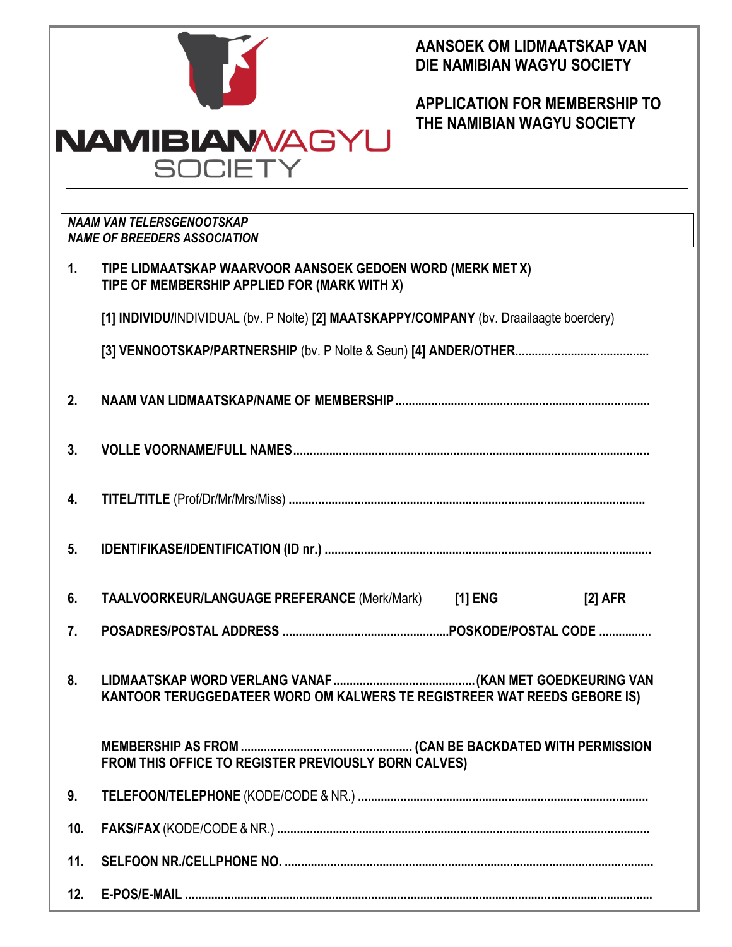|                |                                                                                                            | AANSOEK OM LIDMAATSKAP VAN<br>DIE NAMIBIAN WAGYU SOCIETY           |           |  |  |  |  |  |  |
|----------------|------------------------------------------------------------------------------------------------------------|--------------------------------------------------------------------|-----------|--|--|--|--|--|--|
|                |                                                                                                            | <b>APPLICATION FOR MEMBERSHIP TO</b><br>THE NAMIBIAN WAGYU SOCIETY |           |  |  |  |  |  |  |
|                | <b>NAMIBIAN/AGYU</b>                                                                                       |                                                                    |           |  |  |  |  |  |  |
|                | <b>SOCIETY</b>                                                                                             |                                                                    |           |  |  |  |  |  |  |
|                | <b>NAAM VAN TELERSGENOOTSKAP</b>                                                                           |                                                                    |           |  |  |  |  |  |  |
|                | <b>NAME OF BREEDERS ASSOCIATION</b>                                                                        |                                                                    |           |  |  |  |  |  |  |
| $\mathbf{1}$ . | TIPE LIDMAATSKAP WAARVOOR AANSOEK GEDOEN WORD (MERK MET X)<br>TIPE OF MEMBERSHIP APPLIED FOR (MARK WITH X) |                                                                    |           |  |  |  |  |  |  |
|                | [1] INDIVIDU/INDIVIDUAL (bv. P Nolte) [2] MAATSKAPPY/COMPANY (bv. Draailaagte boerdery)                    |                                                                    |           |  |  |  |  |  |  |
|                |                                                                                                            |                                                                    |           |  |  |  |  |  |  |
| 2.             |                                                                                                            |                                                                    |           |  |  |  |  |  |  |
| 3.             |                                                                                                            |                                                                    |           |  |  |  |  |  |  |
| 4.             |                                                                                                            |                                                                    |           |  |  |  |  |  |  |
| 5.             |                                                                                                            |                                                                    |           |  |  |  |  |  |  |
| 6.             | TAALVOORKEUR/LANGUAGE PREFERANCE (Merk/Mark) [1] ENG                                                       |                                                                    | $[2]$ AFR |  |  |  |  |  |  |
| 7.             |                                                                                                            |                                                                    |           |  |  |  |  |  |  |
| 8.             | KANTOOR TERUGGEDATEER WORD OM KALWERS TE REGISTREER WAT REEDS GEBORE IS)                                   |                                                                    |           |  |  |  |  |  |  |
|                | FROM THIS OFFICE TO REGISTER PREVIOUSLY BORN CALVES)                                                       |                                                                    |           |  |  |  |  |  |  |
| 9.             |                                                                                                            |                                                                    |           |  |  |  |  |  |  |
| 10.            |                                                                                                            |                                                                    |           |  |  |  |  |  |  |
| 11.            |                                                                                                            |                                                                    |           |  |  |  |  |  |  |
| 12.            | E-POS/E-MAIL                                                                                               |                                                                    |           |  |  |  |  |  |  |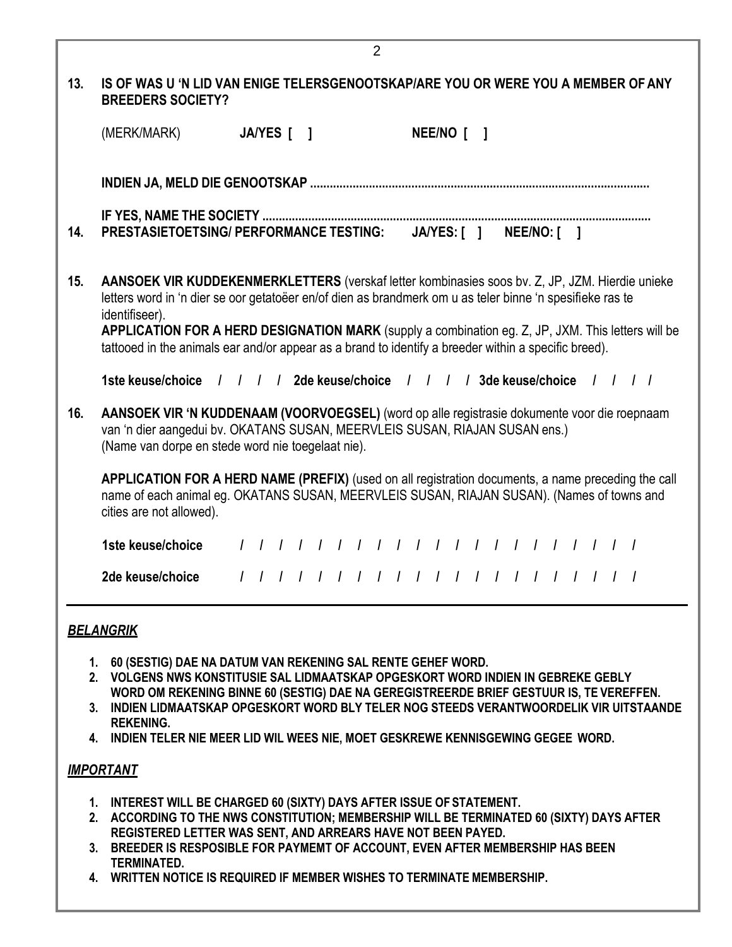|     | (MERK/MARK)                                                                                                                                                                                                                                                                                                                                                                                                                                  |  |  |  | JA/YES [ ] |  |  |                                         |  |  |  | NEE/NO [    |  |  |                    |  |  |  |  |
|-----|----------------------------------------------------------------------------------------------------------------------------------------------------------------------------------------------------------------------------------------------------------------------------------------------------------------------------------------------------------------------------------------------------------------------------------------------|--|--|--|------------|--|--|-----------------------------------------|--|--|--|-------------|--|--|--------------------|--|--|--|--|
|     |                                                                                                                                                                                                                                                                                                                                                                                                                                              |  |  |  |            |  |  |                                         |  |  |  |             |  |  |                    |  |  |  |  |
|     |                                                                                                                                                                                                                                                                                                                                                                                                                                              |  |  |  |            |  |  |                                         |  |  |  |             |  |  |                    |  |  |  |  |
| 14. | PRESTASIETOETSING/ PERFORMANCE TESTING:                                                                                                                                                                                                                                                                                                                                                                                                      |  |  |  |            |  |  |                                         |  |  |  | JA/YES: [ ] |  |  | <b>NEE/NO: [ ]</b> |  |  |  |  |
| 15. | AANSOEK VIR KUDDEKENMERKLETTERS (verskaf letter kombinasies soos bv. Z, JP, JZM. Hierdie unieke<br>letters word in 'n dier se oor getatoëer en/of dien as brandmerk om u as teler binne 'n spesifieke ras te<br>identifiseer).<br>APPLICATION FOR A HERD DESIGNATION MARK (supply a combination eg. Z, JP, JXM. This letters will be<br>tattooed in the animals ear and/or appear as a brand to identify a breeder within a specific breed). |  |  |  |            |  |  |                                         |  |  |  |             |  |  |                    |  |  |  |  |
|     | 1ste keuse/choice                                                                                                                                                                                                                                                                                                                                                                                                                            |  |  |  |            |  |  |                                         |  |  |  |             |  |  |                    |  |  |  |  |
| 16. | AANSOEK VIR 'N KUDDENAAM (VOORVOEGSEL) (word op alle registrasie dokumente voor die roepnaam<br>van 'n dier aangedui bv. OKATANS SUSAN, MEERVLEIS SUSAN, RIAJAN SUSAN ens.)<br>(Name van dorpe en stede word nie toegelaat nie).                                                                                                                                                                                                             |  |  |  |            |  |  |                                         |  |  |  |             |  |  |                    |  |  |  |  |
|     | APPLICATION FOR A HERD NAME (PREFIX) (used on all registration documents, a name preceding the call<br>name of each animal eg. OKATANS SUSAN, MEERVLEIS SUSAN, RIAJAN SUSAN). (Names of towns and<br>cities are not allowed).                                                                                                                                                                                                                |  |  |  |            |  |  |                                         |  |  |  |             |  |  |                    |  |  |  |  |
|     | 1ste keuse/choice                                                                                                                                                                                                                                                                                                                                                                                                                            |  |  |  |            |  |  | 1 1 1 1 1 1 1 1 1 1 1 1 1 1 1 1 1 1 1 1 |  |  |  |             |  |  |                    |  |  |  |  |
|     | 2de keuse/choice                                                                                                                                                                                                                                                                                                                                                                                                                             |  |  |  |            |  |  |                                         |  |  |  |             |  |  |                    |  |  |  |  |
|     | <b>BELANGRIK</b>                                                                                                                                                                                                                                                                                                                                                                                                                             |  |  |  |            |  |  |                                         |  |  |  |             |  |  |                    |  |  |  |  |

2

- **3. INDIEN LIDMAATSKAP OPGESKORT WORD BLY TELER NOG STEEDS VERANTWOORDELIK VIR UITSTAANDE REKENING.**
- **4. INDIEN TELER NIE MEER LID WIL WEES NIE, MOET GESKREWE KENNISGEWING GEGEE WORD.**

## *IMPORTANT*

- **1. INTEREST WILL BE CHARGED 60 (SIXTY) DAYS AFTER ISSUE OFSTATEMENT.**
- **2. ACCORDING TO THE NWS CONSTITUTION; MEMBERSHIP WILL BE TERMINATED 60 (SIXTY) DAYS AFTER REGISTERED LETTER WAS SENT, AND ARREARS HAVE NOT BEEN PAYED.**
- **3. BREEDER IS RESPOSIBLE FOR PAYMEMT OF ACCOUNT, EVEN AFTER MEMBERSHIP HAS BEEN TERMINATED.**
- **4. WRITTEN NOTICE IS REQUIRED IF MEMBER WISHES TO TERMINATE MEMBERSHIP.**